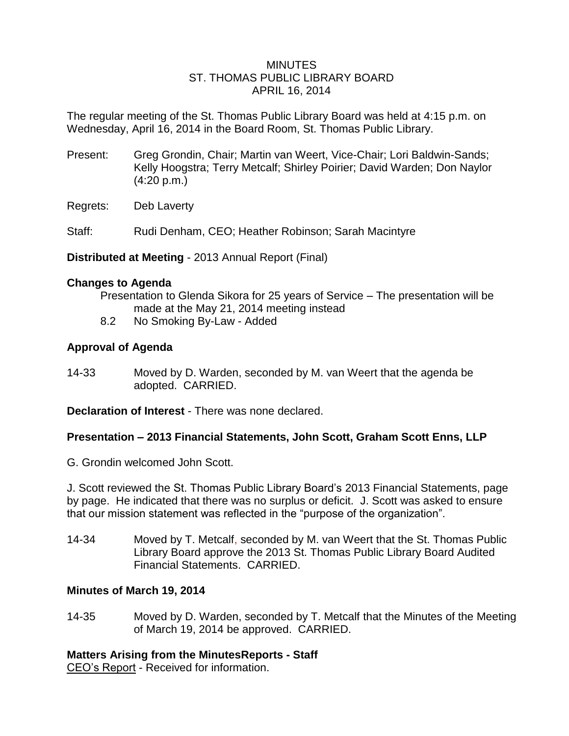### MINUTES ST. THOMAS PUBLIC LIBRARY BOARD APRIL 16, 2014

The regular meeting of the St. Thomas Public Library Board was held at 4:15 p.m. on Wednesday, April 16, 2014 in the Board Room, St. Thomas Public Library.

- Present: Greg Grondin, Chair; Martin van Weert, Vice-Chair; Lori Baldwin-Sands; Kelly Hoogstra; Terry Metcalf; Shirley Poirier; David Warden; Don Naylor (4:20 p.m.)
- Regrets: Deb Laverty

Staff: Rudi Denham, CEO; Heather Robinson; Sarah Macintyre

**Distributed at Meeting** - 2013 Annual Report (Final)

### **Changes to Agenda**

Presentation to Glenda Sikora for 25 years of Service – The presentation will be made at the May 21, 2014 meeting instead

8.2 No Smoking By-Law - Added

# **Approval of Agenda**

14-33 Moved by D. Warden, seconded by M. van Weert that the agenda be adopted. CARRIED.

**Declaration of Interest** - There was none declared.

# **Presentation – 2013 Financial Statements, John Scott, Graham Scott Enns, LLP**

G. Grondin welcomed John Scott.

J. Scott reviewed the St. Thomas Public Library Board's 2013 Financial Statements, page by page. He indicated that there was no surplus or deficit. J. Scott was asked to ensure that our mission statement was reflected in the "purpose of the organization".

14-34 Moved by T. Metcalf, seconded by M. van Weert that the St. Thomas Public Library Board approve the 2013 St. Thomas Public Library Board Audited Financial Statements. CARRIED.

# **Minutes of March 19, 2014**

14-35 Moved by D. Warden, seconded by T. Metcalf that the Minutes of the Meeting of March 19, 2014 be approved. CARRIED.

# **Matters Arising from the MinutesReports - Staff**

CEO's Report - Received for information.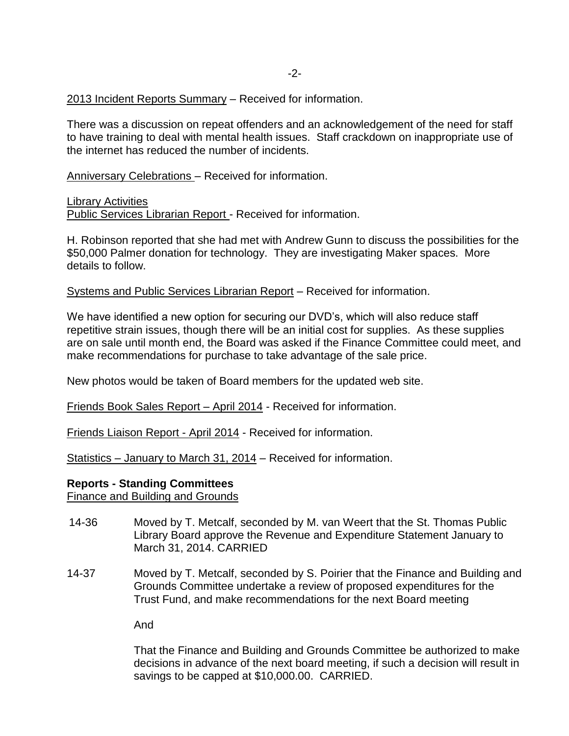2013 Incident Reports Summary – Received for information.

There was a discussion on repeat offenders and an acknowledgement of the need for staff to have training to deal with mental health issues. Staff crackdown on inappropriate use of the internet has reduced the number of incidents.

Anniversary Celebrations – Received for information.

Library Activities

Public Services Librarian Report - Received for information.

H. Robinson reported that she had met with Andrew Gunn to discuss the possibilities for the \$50,000 Palmer donation for technology. They are investigating Maker spaces. More details to follow.

Systems and Public Services Librarian Report – Received for information.

We have identified a new option for securing our DVD's, which will also reduce staff repetitive strain issues, though there will be an initial cost for supplies. As these supplies are on sale until month end, the Board was asked if the Finance Committee could meet, and make recommendations for purchase to take advantage of the sale price.

New photos would be taken of Board members for the updated web site.

Friends Book Sales Report – April 2014 - Received for information.

Friends Liaison Report - April 2014 - Received for information.

Statistics – January to March 31, 2014 – Received for information.

#### **Reports - Standing Committees**

Finance and Building and Grounds

- 14-36 Moved by T. Metcalf, seconded by M. van Weert that the St. Thomas Public Library Board approve the Revenue and Expenditure Statement January to March 31, 2014. CARRIED
- 14-37 Moved by T. Metcalf, seconded by S. Poirier that the Finance and Building and Grounds Committee undertake a review of proposed expenditures for the Trust Fund, and make recommendations for the next Board meeting

And

That the Finance and Building and Grounds Committee be authorized to make decisions in advance of the next board meeting, if such a decision will result in savings to be capped at \$10,000.00. CARRIED.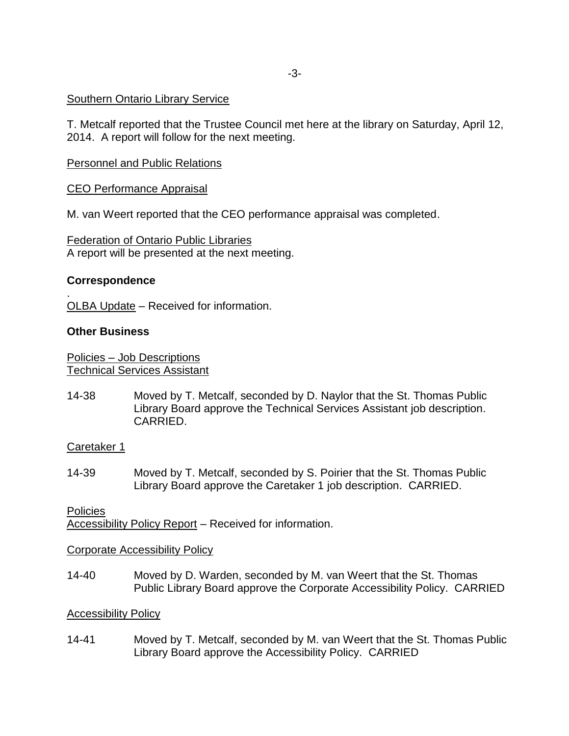# Southern Ontario Library Service

T. Metcalf reported that the Trustee Council met here at the library on Saturday, April 12, 2014. A report will follow for the next meeting.

### Personnel and Public Relations

### CEO Performance Appraisal

M. van Weert reported that the CEO performance appraisal was completed.

Federation of Ontario Public Libraries A report will be presented at the next meeting.

#### **Correspondence**

.

OLBA Update – Received for information.

#### **Other Business**

Policies – Job Descriptions Technical Services Assistant

14-38 Moved by T. Metcalf, seconded by D. Naylor that the St. Thomas Public Library Board approve the Technical Services Assistant job description. CARRIED.

#### Caretaker 1

14-39 Moved by T. Metcalf, seconded by S. Poirier that the St. Thomas Public Library Board approve the Caretaker 1 job description. CARRIED.

# **Policies** Accessibility Policy Report – Received for information.

#### Corporate Accessibility Policy

14-40 Moved by D. Warden, seconded by M. van Weert that the St. Thomas Public Library Board approve the Corporate Accessibility Policy. CARRIED

#### Accessibility Policy

14-41 Moved by T. Metcalf, seconded by M. van Weert that the St. Thomas Public Library Board approve the Accessibility Policy. CARRIED